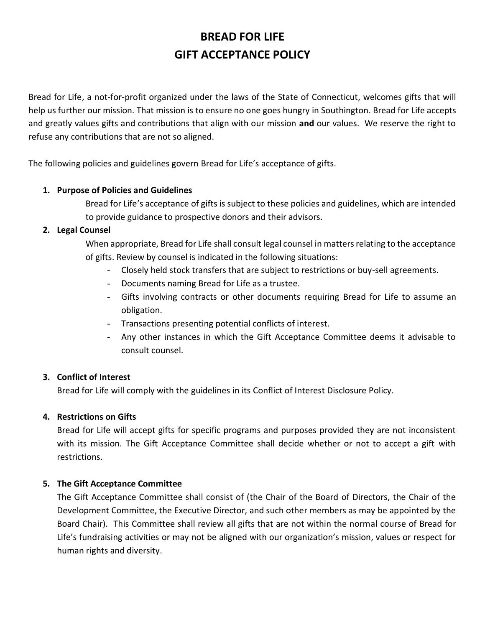# **BREAD FOR LIFE GIFT ACCEPTANCE POLICY**

Bread for Life, a not-for-profit organized under the laws of the State of Connecticut, welcomes gifts that will help us further our mission. That mission is to ensure no one goes hungry in Southington. Bread for Life accepts and greatly values gifts and contributions that align with our mission **and** our values. We reserve the right to refuse any contributions that are not so aligned.

The following policies and guidelines govern Bread for Life's acceptance of gifts.

### **1. Purpose of Policies and Guidelines**

Bread for Life's acceptance of gifts is subject to these policies and guidelines, which are intended to provide guidance to prospective donors and their advisors.

### **2. Legal Counsel**

When appropriate, Bread for Life shall consult legal counsel in matters relating to the acceptance of gifts. Review by counsel is indicated in the following situations:

- Closely held stock transfers that are subject to restrictions or buy-sell agreements.
- Documents naming Bread for Life as a trustee.
- Gifts involving contracts or other documents requiring Bread for Life to assume an obligation.
- Transactions presenting potential conflicts of interest.
- Any other instances in which the Gift Acceptance Committee deems it advisable to consult counsel.

## **3. Conflict of Interest**

Bread for Life will comply with the guidelines in its Conflict of Interest Disclosure Policy.

## **4. Restrictions on Gifts**

Bread for Life will accept gifts for specific programs and purposes provided they are not inconsistent with its mission. The Gift Acceptance Committee shall decide whether or not to accept a gift with restrictions.

## **5. The Gift Acceptance Committee**

The Gift Acceptance Committee shall consist of (the Chair of the Board of Directors, the Chair of the Development Committee, the Executive Director, and such other members as may be appointed by the Board Chair). This Committee shall review all gifts that are not within the normal course of Bread for Life's fundraising activities or may not be aligned with our organization's mission, values or respect for human rights and diversity.